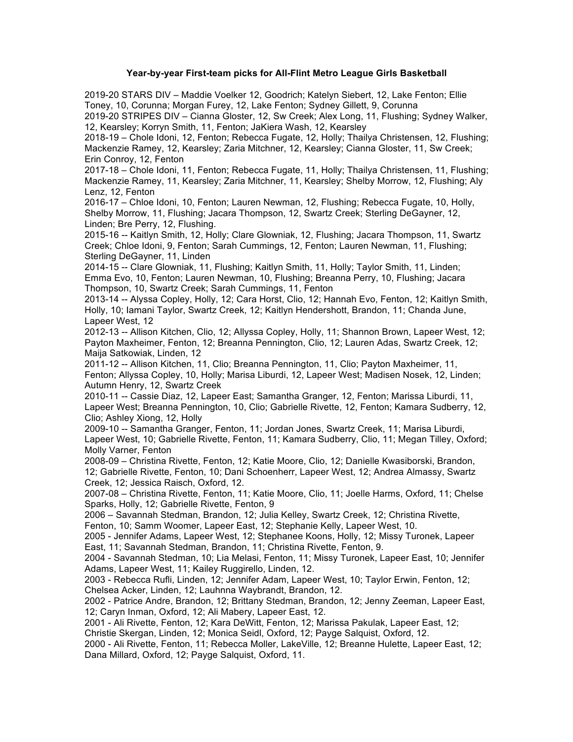## **Year-by-year First-team picks for All-Flint Metro League Girls Basketball**

2019-20 STARS DIV – Maddie Voelker 12, Goodrich; Katelyn Siebert, 12, Lake Fenton; Ellie Toney, 10, Corunna; Morgan Furey, 12, Lake Fenton; Sydney Gillett, 9, Corunna

2019-20 STRIPES DIV – Cianna Gloster, 12, Sw Creek; Alex Long, 11, Flushing; Sydney Walker, 12, Kearsley; Korryn Smith, 11, Fenton; JaKiera Wash, 12, Kearsley

2018-19 – Chole Idoni, 12, Fenton; Rebecca Fugate, 12, Holly; Thailya Christensen, 12, Flushing; Mackenzie Ramey, 12, Kearsley; Zaria Mitchner, 12, Kearsley; Cianna Gloster, 11, Sw Creek; Erin Conroy, 12, Fenton

2017-18 – Chole Idoni, 11, Fenton; Rebecca Fugate, 11, Holly; Thailya Christensen, 11, Flushing; Mackenzie Ramey, 11, Kearsley; Zaria Mitchner, 11, Kearsley; Shelby Morrow, 12, Flushing; Aly Lenz, 12, Fenton

2016-17 – Chloe Idoni, 10, Fenton; Lauren Newman, 12, Flushing; Rebecca Fugate, 10, Holly, Shelby Morrow, 11, Flushing; Jacara Thompson, 12, Swartz Creek; Sterling DeGayner, 12, Linden; Bre Perry, 12, Flushing.

2015-16 -- Kaitlyn Smith, 12, Holly; Clare Glowniak, 12, Flushing; Jacara Thompson, 11, Swartz Creek; Chloe Idoni, 9, Fenton; Sarah Cummings, 12, Fenton; Lauren Newman, 11, Flushing; Sterling DeGayner, 11, Linden

2014-15 -- Clare Glowniak, 11, Flushing; Kaitlyn Smith, 11, Holly; Taylor Smith, 11, Linden; Emma Evo, 10, Fenton; Lauren Newman, 10, Flushing; Breanna Perry, 10, Flushing; Jacara Thompson, 10, Swartz Creek; Sarah Cummings, 11, Fenton

2013-14 -- Alyssa Copley, Holly, 12; Cara Horst, Clio, 12; Hannah Evo, Fenton, 12; Kaitlyn Smith, Holly, 10; Iamani Taylor, Swartz Creek, 12; Kaitlyn Hendershott, Brandon, 11; Chanda June, Lapeer West, 12

2012-13 -- Allison Kitchen, Clio, 12; Allyssa Copley, Holly, 11; Shannon Brown, Lapeer West, 12; Payton Maxheimer, Fenton, 12; Breanna Pennington, Clio, 12; Lauren Adas, Swartz Creek, 12; Maija Satkowiak, Linden, 12

2011-12 -- Allison Kitchen, 11, Clio; Breanna Pennington, 11, Clio; Payton Maxheimer, 11, Fenton; Allyssa Copley, 10, Holly; Marisa Liburdi, 12, Lapeer West; Madisen Nosek, 12, Linden; Autumn Henry, 12, Swartz Creek

2010-11 -- Cassie Diaz, 12, Lapeer East; Samantha Granger, 12, Fenton; Marissa Liburdi, 11, Lapeer West; Breanna Pennington, 10, Clio; Gabrielle Rivette, 12, Fenton; Kamara Sudberry, 12, Clio; Ashley Xiong, 12, Holly

2009-10 -- Samantha Granger, Fenton, 11; Jordan Jones, Swartz Creek, 11; Marisa Liburdi, Lapeer West, 10; Gabrielle Rivette, Fenton, 11; Kamara Sudberry, Clio, 11; Megan Tilley, Oxford; Molly Varner, Fenton

2008-09 – Christina Rivette, Fenton, 12; Katie Moore, Clio, 12; Danielle Kwasiborski, Brandon, 12; Gabrielle Rivette, Fenton, 10; Dani Schoenherr, Lapeer West, 12; Andrea Almassy, Swartz Creek, 12; Jessica Raisch, Oxford, 12.

2007-08 – Christina Rivette, Fenton, 11; Katie Moore, Clio, 11; Joelle Harms, Oxford, 11; Chelse Sparks, Holly, 12; Gabrielle Rivette, Fenton, 9

2006 – Savannah Stedman, Brandon, 12; Julia Kelley, Swartz Creek, 12; Christina Rivette, Fenton, 10; Samm Woomer, Lapeer East, 12; Stephanie Kelly, Lapeer West, 10.

2005 - Jennifer Adams, Lapeer West, 12; Stephanee Koons, Holly, 12; Missy Turonek, Lapeer East, 11; Savannah Stedman, Brandon, 11; Christina Rivette, Fenton, 9.

2004 - Savannah Stedman, 10; Lia Melasi, Fenton, 11; Missy Turonek, Lapeer East, 10; Jennifer Adams, Lapeer West, 11; Kailey Ruggirello, Linden, 12.

2003 - Rebecca Rufli, Linden, 12; Jennifer Adam, Lapeer West, 10; Taylor Erwin, Fenton, 12; Chelsea Acker, Linden, 12; Lauhnna Waybrandt, Brandon, 12.

2002 - Patrice Andre, Brandon, 12; Brittany Stedman, Brandon, 12; Jenny Zeeman, Lapeer East, 12; Caryn Inman, Oxford, 12; Ali Mabery, Lapeer East, 12.

2001 - Ali Rivette, Fenton, 12; Kara DeWitt, Fenton, 12; Marissa Pakulak, Lapeer East, 12; Christie Skergan, Linden, 12; Monica Seidl, Oxford, 12; Payge Salquist, Oxford, 12.

2000 - Ali Rivette, Fenton, 11; Rebecca Moller, LakeVille, 12; Breanne Hulette, Lapeer East, 12; Dana Millard, Oxford, 12; Payge Salquist, Oxford, 11.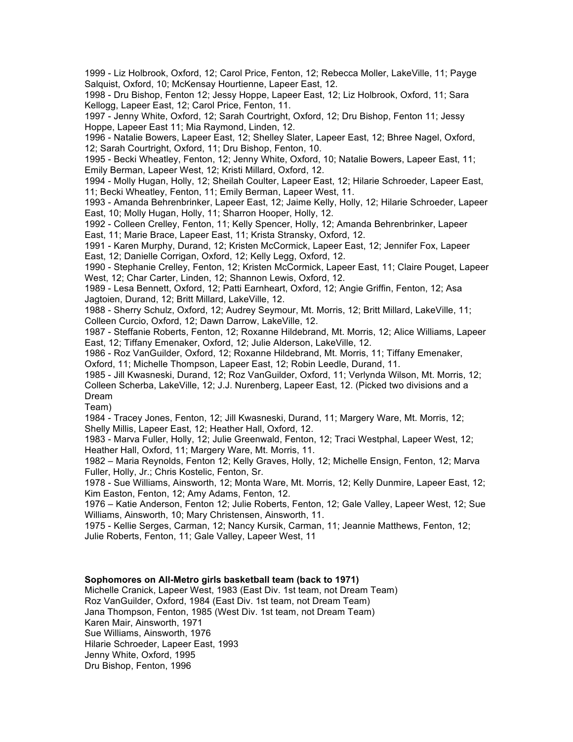1999 - Liz Holbrook, Oxford, 12; Carol Price, Fenton, 12; Rebecca Moller, LakeVille, 11; Payge Salquist, Oxford, 10; McKensay Hourtienne, Lapeer East, 12.

1998 - Dru Bishop, Fenton 12; Jessy Hoppe, Lapeer East, 12; Liz Holbrook, Oxford, 11; Sara Kellogg, Lapeer East, 12; Carol Price, Fenton, 11.

1997 - Jenny White, Oxford, 12; Sarah Courtright, Oxford, 12; Dru Bishop, Fenton 11; Jessy Hoppe, Lapeer East 11; Mia Raymond, Linden, 12.

1996 - Natalie Bowers, Lapeer East, 12; Shelley Slater, Lapeer East, 12; Bhree Nagel, Oxford, 12; Sarah Courtright, Oxford, 11; Dru Bishop, Fenton, 10.

1995 - Becki Wheatley, Fenton, 12; Jenny White, Oxford, 10; Natalie Bowers, Lapeer East, 11; Emily Berman, Lapeer West, 12; Kristi Millard, Oxford, 12.

1994 - Molly Hugan, Holly, 12; Sheilah Coulter, Lapeer East, 12; Hilarie Schroeder, Lapeer East, 11; Becki Wheatley, Fenton, 11; Emily Berman, Lapeer West, 11.

1993 - Amanda Behrenbrinker, Lapeer East, 12; Jaime Kelly, Holly, 12; Hilarie Schroeder, Lapeer East, 10; Molly Hugan, Holly, 11; Sharron Hooper, Holly, 12.

1992 - Colleen Crelley, Fenton, 11; Kelly Spencer, Holly, 12; Amanda Behrenbrinker, Lapeer East, 11; Marie Brace, Lapeer East, 11; Krista Stransky, Oxford, 12.

1991 - Karen Murphy, Durand, 12; Kristen McCormick, Lapeer East, 12; Jennifer Fox, Lapeer East, 12; Danielle Corrigan, Oxford, 12; Kelly Legg, Oxford, 12.

1990 - Stephanie Crelley, Fenton, 12; Kristen McCormick, Lapeer East, 11; Claire Pouget, Lapeer West, 12; Char Carter, Linden, 12; Shannon Lewis, Oxford, 12.

1989 - Lesa Bennett, Oxford, 12; Patti Earnheart, Oxford, 12; Angie Griffin, Fenton, 12; Asa Jagtoien, Durand, 12; Britt Millard, LakeVille, 12.

1988 - Sherry Schulz, Oxford, 12; Audrey Seymour, Mt. Morris, 12; Britt Millard, LakeVille, 11; Colleen Curcio, Oxford, 12; Dawn Darrow, LakeVille, 12.

1987 - Steffanie Roberts, Fenton, 12; Roxanne Hildebrand, Mt. Morris, 12; Alice Williams, Lapeer East, 12; Tiffany Emenaker, Oxford, 12; Julie Alderson, LakeVille, 12.

1986 - Roz VanGuilder, Oxford, 12; Roxanne Hildebrand, Mt. Morris, 11; Tiffany Emenaker, Oxford, 11; Michelle Thompson, Lapeer East, 12; Robin Leedle, Durand, 11.

1985 - Jill Kwasneski, Durand, 12; Roz VanGuilder, Oxford, 11; Verlynda Wilson, Mt. Morris, 12; Colleen Scherba, LakeVille, 12; J.J. Nurenberg, Lapeer East, 12. (Picked two divisions and a Dream

Team)

1984 - Tracey Jones, Fenton, 12; Jill Kwasneski, Durand, 11; Margery Ware, Mt. Morris, 12; Shelly Millis, Lapeer East, 12; Heather Hall, Oxford, 12.

1983 - Marva Fuller, Holly, 12; Julie Greenwald, Fenton, 12; Traci Westphal, Lapeer West, 12; Heather Hall, Oxford, 11; Margery Ware, Mt. Morris, 11.

1982 – Maria Reynolds, Fenton 12; Kelly Graves, Holly, 12; Michelle Ensign, Fenton, 12; Marva Fuller, Holly, Jr.; Chris Kostelic, Fenton, Sr.

1978 - Sue Williams, Ainsworth, 12; Monta Ware, Mt. Morris, 12; Kelly Dunmire, Lapeer East, 12; Kim Easton, Fenton, 12; Amy Adams, Fenton, 12.

1976 – Katie Anderson, Fenton 12; Julie Roberts, Fenton, 12; Gale Valley, Lapeer West, 12; Sue Williams, Ainsworth, 10; Mary Christensen, Ainsworth, 11.

1975 - Kellie Serges, Carman, 12; Nancy Kursik, Carman, 11; Jeannie Matthews, Fenton, 12; Julie Roberts, Fenton, 11; Gale Valley, Lapeer West, 11

## **Sophomores on All-Metro girls basketball team (back to 1971)**

Michelle Cranick, Lapeer West, 1983 (East Div. 1st team, not Dream Team) Roz VanGuilder, Oxford, 1984 (East Div. 1st team, not Dream Team) Jana Thompson, Fenton, 1985 (West Div. 1st team, not Dream Team) Karen Mair, Ainsworth, 1971 Sue Williams, Ainsworth, 1976 Hilarie Schroeder, Lapeer East, 1993 Jenny White, Oxford, 1995 Dru Bishop, Fenton, 1996